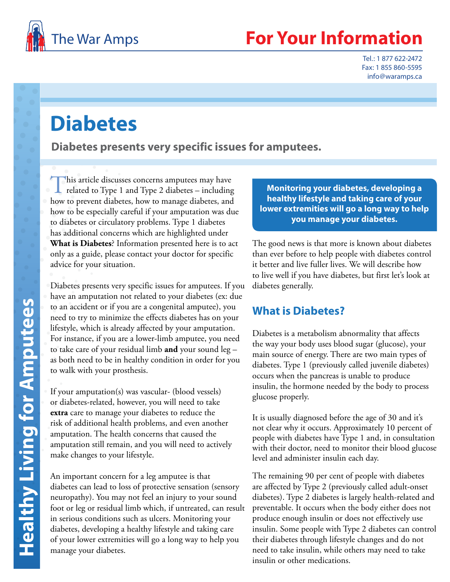

# **Your Information**

Tel.: 1 877 622-2472 Fax: 1 855 860-5595 info@waramps.ca

# **Diabetes**

**Diabetes presents very specific issues for amputees.**

This article discusses concerns amputees may have<br>related to Type 1 and Type 2 diabetes – including how to prevent diabetes, how to manage diabetes, and how to be especially careful if your amputation was due to diabetes or circulatory problems. Type 1 diabetes has additional concerns which are highlighted under **What is Diabetes**? Information presented here is to act only as a guide, please contact your doctor for specific advice for your situation.

Diabetes presents very specific issues for amputees. If you have an amputation not related to your diabetes (ex: due to an accident or if you are a congenital amputee), you need to try to minimize the effects diabetes has on your lifestyle, which is already affected by your amputation. For instance, if you are a lower-limb amputee, you need to take care of your residual limb **and** your sound leg – as both need to be in healthy condition in order for you to walk with your prosthesis.

If your amputation(s) was vascular- (blood vessels) or diabetes-related, however, you will need to take **extra** care to manage your diabetes to reduce the risk of additional health problems, and even another amputation. The health concerns that caused the amputation still remain, and you will need to actively make changes to your lifestyle.

An important concern for a leg amputee is that diabetes can lead to loss of protective sensation (sensory neuropathy). You may not feel an injury to your sound foot or leg or residual limb which, if untreated, can result in serious conditions such as ulcers. Monitoring your diabetes, developing a healthy lifestyle and taking care of your lower extremities will go a long way to help you manage your diabetes.

**Monitoring your diabetes, developing a healthy lifestyle and taking care of your lower extremities will go a long way to help you manage your diabetes.**

The good news is that more is known about diabetes than ever before to help people with diabetes control it better and live fuller lives. We will describe how to live well if you have diabetes, but first let's look at diabetes generally.

## **What is Diabetes?**

Diabetes is a metabolism abnormality that affects the way your body uses blood sugar (glucose), your main source of energy. There are two main types of diabetes. Type 1 (previously called juvenile diabetes) occurs when the pancreas is unable to produce insulin, the hormone needed by the body to process glucose properly.

It is usually diagnosed before the age of 30 and it's not clear why it occurs. Approximately 10 percent of people with diabetes have Type 1 and, in consultation with their doctor, need to monitor their blood glucose level and administer insulin each day.

The remaining 90 per cent of people with diabetes are affected by Type 2 (previously called adult-onset diabetes). Type 2 diabetes is largely health-related and preventable. It occurs when the body either does not produce enough insulin or does not effectively use insulin. Some people with Type 2 diabetes can control their diabetes through lifestyle changes and do not need to take insulin, while others may need to take insulin or other medications.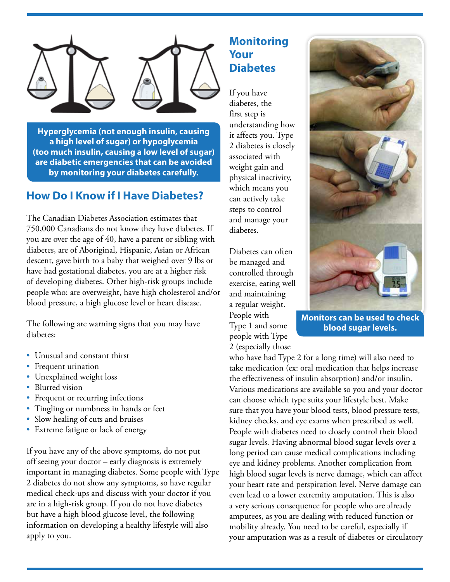

**Hyperglycemia (not enough insulin, causing a high level of sugar) or hypoglycemia (too much insulin, causing a low level of sugar) are diabetic emergencies that can be avoided by monitoring your diabetes carefully.**

### **How Do I Know if I Have Diabetes?**

The Canadian Diabetes Association estimates that 750,000 Canadians do not know they have diabetes. If you are over the age of 40, have a parent or sibling with diabetes, are of Aboriginal, Hispanic, Asian or African descent, gave birth to a baby that weighed over 9 lbs or have had gestational diabetes, you are at a higher risk of developing diabetes. Other high-risk groups include people who: are overweight, have high cholesterol and/or blood pressure, a high glucose level or heart disease.

The following are warning signs that you may have diabetes:

- Unusual and constant thirst
- Frequent urination
- Unexplained weight loss
- Blurred vision
- Frequent or recurring infections
- Tingling or numbness in hands or feet
- Slow healing of cuts and bruises
- Extreme fatigue or lack of energy

If you have any of the above symptoms, do not put off seeing your doctor – early diagnosis is extremely important in managing diabetes. Some people with Type 2 diabetes do not show any symptoms, so have regular medical check-ups and discuss with your doctor if you are in a high-risk group. If you do not have diabetes but have a high blood glucose level, the following information on developing a healthy lifestyle will also apply to you.

## **Monitoring Your Diabetes**

If you have diabetes, the first step is understanding how it affects you. Type 2 diabetes is closely associated with weight gain and physical inactivity, which means you can actively take steps to control and manage your diabetes.

Diabetes can often be managed and controlled through exercise, eating well and maintaining a regular weight. People with Type 1 and some people with Type 2 (especially those



**Monitors can be used to check blood sugar levels.**

who have had Type 2 for a long time) will also need to take medication (ex: oral medication that helps increase the effectiveness of insulin absorption) and/or insulin. Various medications are available so you and your doctor can choose which type suits your lifestyle best. Make sure that you have your blood tests, blood pressure tests, kidney checks, and eye exams when prescribed as well. People with diabetes need to closely control their blood sugar levels. Having abnormal blood sugar levels over a long period can cause medical complications including eye and kidney problems. Another complication from high blood sugar levels is nerve damage, which can affect your heart rate and perspiration level. Nerve damage can even lead to a lower extremity amputation. This is also a very serious consequence for people who are already amputees, as you are dealing with reduced function or mobility already. You need to be careful, especially if your amputation was as a result of diabetes or circulatory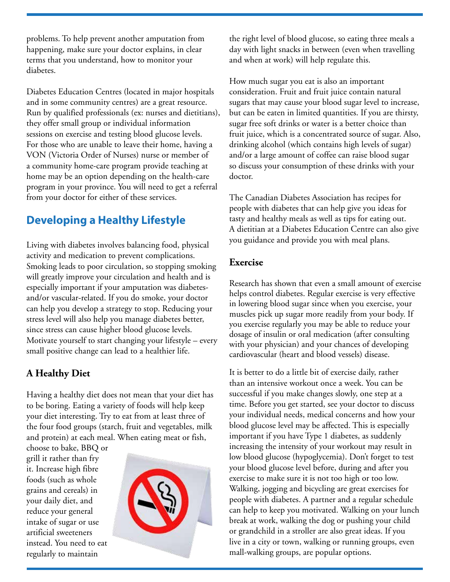problems. To help prevent another amputation from happening, make sure your doctor explains, in clear terms that you understand, how to monitor your diabetes.

Diabetes Education Centres (located in major hospitals and in some community centres) are a great resource. Run by qualified professionals (ex: nurses and dietitians), they offer small group or individual information sessions on exercise and testing blood glucose levels. For those who are unable to leave their home, having a VON (Victoria Order of Nurses) nurse or member of a community home-care program provide teaching at home may be an option depending on the health-care program in your province. You will need to get a referral from your doctor for either of these services.

# **Developing a Healthy Lifestyle**

Living with diabetes involves balancing food, physical activity and medication to prevent complications. Smoking leads to poor circulation, so stopping smoking will greatly improve your circulation and health and is especially important if your amputation was diabetesand/or vascular-related. If you do smoke, your doctor can help you develop a strategy to stop. Reducing your stress level will also help you manage diabetes better, since stress can cause higher blood glucose levels. Motivate yourself to start changing your lifestyle – every small positive change can lead to a healthier life.

## **A Healthy Diet**

Having a healthy diet does not mean that your diet has to be boring. Eating a variety of foods will help keep your diet interesting. Try to eat from at least three of the four food groups (starch, fruit and vegetables, milk and protein) at each meal. When eating meat or fish,

choose to bake, BBQ or grill it rather than fry it. Increase high fibre foods (such as whole grains and cereals) in your daily diet, and reduce your general intake of sugar or use artificial sweeteners instead. You need to eat regularly to maintain



the right level of blood glucose, so eating three meals a day with light snacks in between (even when travelling and when at work) will help regulate this.

How much sugar you eat is also an important consideration. Fruit and fruit juice contain natural sugars that may cause your blood sugar level to increase, but can be eaten in limited quantities. If you are thirsty, sugar free soft drinks or water is a better choice than fruit juice, which is a concentrated source of sugar. Also, drinking alcohol (which contains high levels of sugar) and/or a large amount of coffee can raise blood sugar so discuss your consumption of these drinks with your doctor.

The Canadian Diabetes Association has recipes for people with diabetes that can help give you ideas for tasty and healthy meals as well as tips for eating out. A dietitian at a Diabetes Education Centre can also give you guidance and provide you with meal plans.

#### **Exercise**

Research has shown that even a small amount of exercise helps control diabetes. Regular exercise is very effective in lowering blood sugar since when you exercise, your muscles pick up sugar more readily from your body. If you exercise regularly you may be able to reduce your dosage of insulin or oral medication (after consulting with your physician) and your chances of developing cardiovascular (heart and blood vessels) disease.

It is better to do a little bit of exercise daily, rather than an intensive workout once a week. You can be successful if you make changes slowly, one step at a time. Before you get started, see your doctor to discuss your individual needs, medical concerns and how your blood glucose level may be affected. This is especially important if you have Type 1 diabetes, as suddenly increasing the intensity of your workout may result in low blood glucose (hypoglycemia). Don't forget to test your blood glucose level before, during and after you exercise to make sure it is not too high or too low. Walking, jogging and bicycling are great exercises for people with diabetes. A partner and a regular schedule can help to keep you motivated. Walking on your lunch break at work, walking the dog or pushing your child or grandchild in a stroller are also great ideas. If you live in a city or town, walking or running groups, even mall-walking groups, are popular options.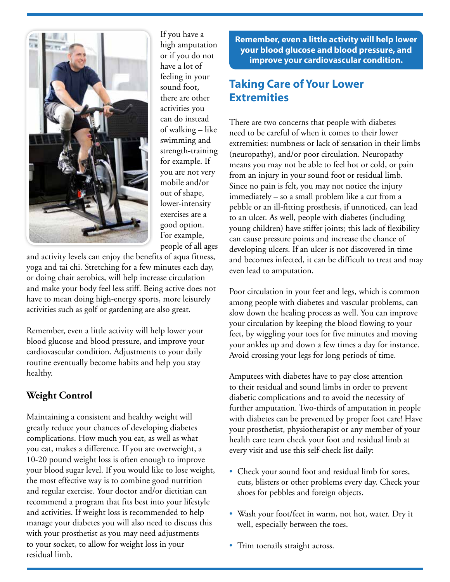

If you have a high amputation or if you do not have a lot of feeling in your sound foot, there are other activities you can do instead of walking – like swimming and strength-training for example. If you are not very mobile and/or out of shape, lower-intensity exercises are a good option. For example, people of all ages

and activity levels can enjoy the benefits of aqua fitness, yoga and tai chi. Stretching for a few minutes each day, or doing chair aerobics, will help increase circulation and make your body feel less stiff. Being active does not have to mean doing high-energy sports, more leisurely activities such as golf or gardening are also great.

Remember, even a little activity will help lower your blood glucose and blood pressure, and improve your cardiovascular condition. Adjustments to your daily routine eventually become habits and help you stay healthy.

#### **Weight Control**

Maintaining a consistent and healthy weight will greatly reduce your chances of developing diabetes complications. How much you eat, as well as what you eat, makes a difference. If you are overweight, a 10-20 pound weight loss is often enough to improve your blood sugar level. If you would like to lose weight, the most effective way is to combine good nutrition and regular exercise. Your doctor and/or dietitian can recommend a program that fits best into your lifestyle and activities. If weight loss is recommended to help manage your diabetes you will also need to discuss this with your prosthetist as you may need adjustments to your socket, to allow for weight loss in your residual limb.

**Remember, even a little activity will help lower your blood glucose and blood pressure, and improve your cardiovascular condition.** 

## **Taking Care of Your Lower Extremities**

There are two concerns that people with diabetes need to be careful of when it comes to their lower extremities: numbness or lack of sensation in their limbs (neuropathy), and/or poor circulation. Neuropathy means you may not be able to feel hot or cold, or pain from an injury in your sound foot or residual limb. Since no pain is felt, you may not notice the injury immediately – so a small problem like a cut from a pebble or an ill-fitting prosthesis, if unnoticed, can lead to an ulcer. As well, people with diabetes (including young children) have stiffer joints; this lack of flexibility can cause pressure points and increase the chance of developing ulcers. If an ulcer is not discovered in time and becomes infected, it can be difficult to treat and may even lead to amputation.

Poor circulation in your feet and legs, which is common among people with diabetes and vascular problems, can slow down the healing process as well. You can improve your circulation by keeping the blood flowing to your feet, by wiggling your toes for five minutes and moving your ankles up and down a few times a day for instance. Avoid crossing your legs for long periods of time.

Amputees with diabetes have to pay close attention to their residual and sound limbs in order to prevent diabetic complications and to avoid the necessity of further amputation. Two-thirds of amputation in people with diabetes can be prevented by proper foot care! Have your prosthetist, physiotherapist or any member of your health care team check your foot and residual limb at every visit and use this self-check list daily:

- Check your sound foot and residual limb for sores, cuts, blisters or other problems every day. Check your shoes for pebbles and foreign objects.
- Wash your foot/feet in warm, not hot, water. Dry it well, especially between the toes.
- Trim toenails straight across.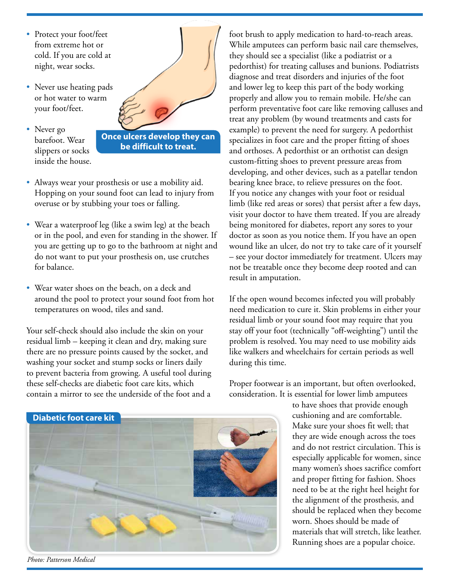- Protect your foot/feet from extreme hot or cold. If you are cold at night, wear socks.
- Never use heating pads or hot water to warm your foot/feet.
- Never go barefoot. Wear slippers or socks inside the house.



**be difficult to treat.**

- Always wear your prosthesis or use a mobility aid. Hopping on your sound foot can lead to injury from overuse or by stubbing your toes or falling.
- Wear a waterproof leg (like a swim leg) at the beach or in the pool, and even for standing in the shower. If you are getting up to go to the bathroom at night and do not want to put your prosthesis on, use crutches for balance.
- Wear water shoes on the beach, on a deck and around the pool to protect your sound foot from hot temperatures on wood, tiles and sand.

Your self-check should also include the skin on your residual limb – keeping it clean and dry, making sure there are no pressure points caused by the socket, and washing your socket and stump socks or liners daily to prevent bacteria from growing. A useful tool during these self-checks are diabetic foot care kits, which contain a mirror to see the underside of the foot and a

foot brush to apply medication to hard-to-reach areas. While amputees can perform basic nail care themselves, they should see a specialist (like a podiatrist or a pedorthist) for treating calluses and bunions. Podiatrists diagnose and treat disorders and injuries of the foot and lower leg to keep this part of the body working properly and allow you to remain mobile. He/she can perform preventative foot care like removing calluses and treat any problem (by wound treatments and casts for example) to prevent the need for surgery. A pedorthist specializes in foot care and the proper fitting of shoes and orthoses. A pedorthist or an orthotist can design custom-fitting shoes to prevent pressure areas from developing, and other devices, such as a patellar tendon bearing knee brace, to relieve pressures on the foot. If you notice any changes with your foot or residual limb (like red areas or sores) that persist after a few days, visit your doctor to have them treated. If you are already being monitored for diabetes, report any sores to your doctor as soon as you notice them. If you have an open wound like an ulcer, do not try to take care of it yourself – see your doctor immediately for treatment. Ulcers may not be treatable once they become deep rooted and can result in amputation.

If the open wound becomes infected you will probably need medication to cure it. Skin problems in either your residual limb or your sound foot may require that you stay off your foot (technically "off-weighting") until the problem is resolved. You may need to use mobility aids like walkers and wheelchairs for certain periods as well during this time.

Proper footwear is an important, but often overlooked, consideration. It is essential for lower limb amputees

> to have shoes that provide enough cushioning and are comfortable. Make sure your shoes fit well; that they are wide enough across the toes and do not restrict circulation. This is especially applicable for women, since many women's shoes sacrifice comfort and proper fitting for fashion. Shoes need to be at the right heel height for the alignment of the prosthesis, and should be replaced when they become worn. Shoes should be made of materials that will stretch, like leather. Running shoes are a popular choice.





*Photo: Patterson Medical*